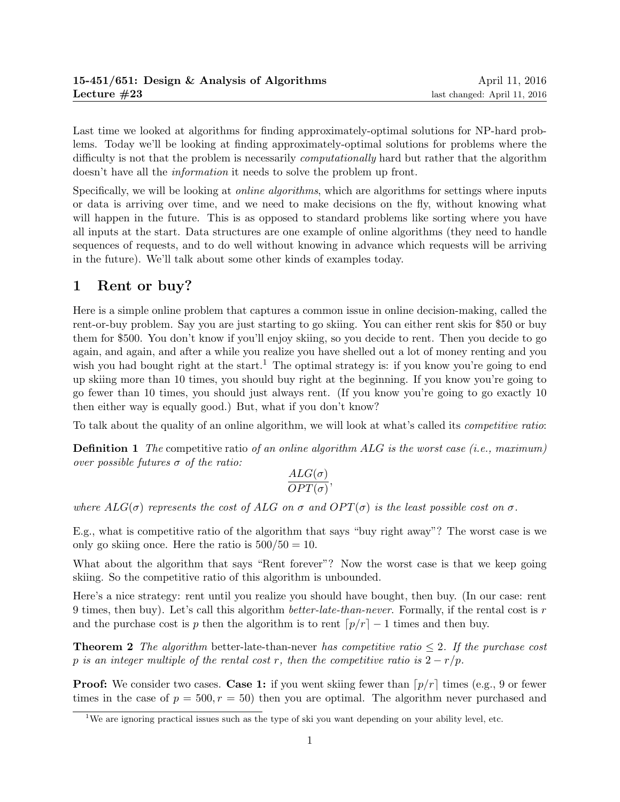Last time we looked at algorithms for finding approximately-optimal solutions for NP-hard problems. Today we'll be looking at finding approximately-optimal solutions for problems where the difficulty is not that the problem is necessarily *computationally* hard but rather that the algorithm doesn't have all the *information* it needs to solve the problem up front.

Specifically, we will be looking at *online algorithms*, which are algorithms for settings where inputs or data is arriving over time, and we need to make decisions on the fly, without knowing what will happen in the future. This is as opposed to standard problems like sorting where you have all inputs at the start. Data structures are one example of online algorithms (they need to handle sequences of requests, and to do well without knowing in advance which requests will be arriving in the future). We'll talk about some other kinds of examples today.

# 1 Rent or buy?

Here is a simple online problem that captures a common issue in online decision-making, called the rent-or-buy problem. Say you are just starting to go skiing. You can either rent skis for \$50 or buy them for \$500. You don't know if you'll enjoy skiing, so you decide to rent. Then you decide to go again, and again, and after a while you realize you have shelled out a lot of money renting and you wish you had bought right at the start.<sup>1</sup> The optimal strategy is: if you know you're going to end up skiing more than 10 times, you should buy right at the beginning. If you know you're going to go fewer than 10 times, you should just always rent. (If you know you're going to go exactly 10 then either way is equally good.) But, what if you don't know?

To talk about the quality of an online algorithm, we will look at what's called its competitive ratio:

**Definition 1** The competitive ratio of an online algorithm  $ALG$  is the worst case (i.e., maximum) over possible futures  $\sigma$  of the ratio:

$$
\frac{ALG(\sigma)}{OPT(\sigma)},
$$

where  $ALG(\sigma)$  represents the cost of ALG on  $\sigma$  and  $OPT(\sigma)$  is the least possible cost on  $\sigma$ .

E.g., what is competitive ratio of the algorithm that says "buy right away"? The worst case is we only go skiing once. Here the ratio is  $500/50 = 10$ .

What about the algorithm that says "Rent forever"? Now the worst case is that we keep going skiing. So the competitive ratio of this algorithm is unbounded.

Here's a nice strategy: rent until you realize you should have bought, then buy. (In our case: rent 9 times, then buy). Let's call this algorithm *better-late-than-never*. Formally, if the rental cost is  $r$ and the purchase cost is p then the algorithm is to rent  $\lceil p/r \rceil - 1$  times and then buy.

**Theorem 2** The algorithm better-late-than-never has competitive ratio  $\leq 2$ . If the purchase cost p is an integer multiple of the rental cost r, then the competitive ratio is  $2 - r/p$ .

**Proof:** We consider two cases. **Case 1:** if you went skiing fewer than  $\lceil p/r \rceil$  times (e.g., 9 or fewer times in the case of  $p = 500, r = 50$  then you are optimal. The algorithm never purchased and

<sup>&</sup>lt;sup>1</sup>We are ignoring practical issues such as the type of ski you want depending on your ability level, etc.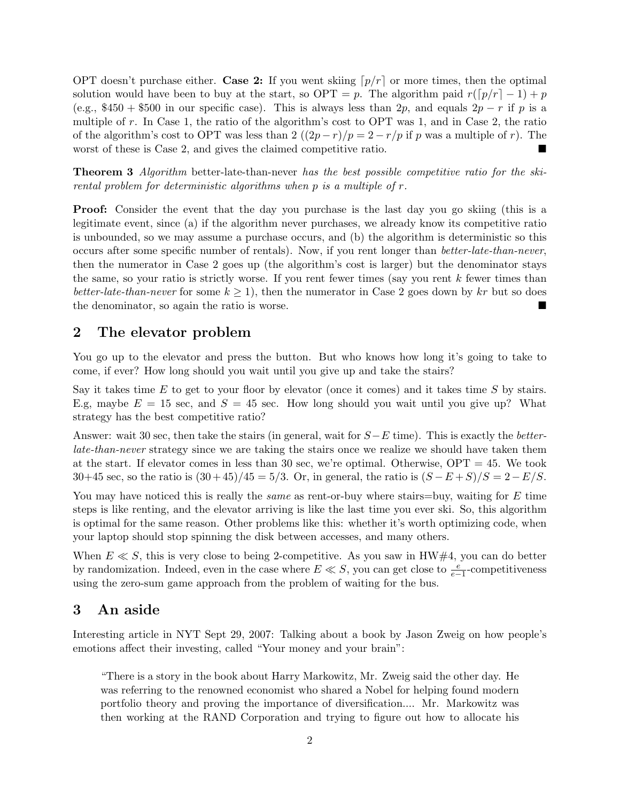OPT doesn't purchase either. Case 2: If you went skiing  $p/r$  or more times, then the optimal solution would have been to buy at the start, so OPT = p. The algorithm paid  $r(\lceil p/r \rceil - 1) + p$ (e.g., \$450 + \$500 in our specific case). This is always less than 2p, and equals  $2p - r$  if p is a multiple of r. In Case 1, the ratio of the algorithm's cost to OPT was 1, and in Case 2, the ratio of the algorithm's cost to OPT was less than 2  $((2p - r)/p = 2 - r/p$  if p was a multiple of r). The worst of these is Case 2, and gives the claimed competitive ratio.

Theorem 3 Algorithm better-late-than-never has the best possible competitive ratio for the skirental problem for deterministic algorithms when p is a multiple of r.

Proof: Consider the event that the day you purchase is the last day you go skiing (this is a legitimate event, since (a) if the algorithm never purchases, we already know its competitive ratio is unbounded, so we may assume a purchase occurs, and (b) the algorithm is deterministic so this occurs after some specific number of rentals). Now, if you rent longer than better-late-than-never, then the numerator in Case 2 goes up (the algorithm's cost is larger) but the denominator stays the same, so your ratio is strictly worse. If you rent fewer times (say you rent  $k$  fewer times than better-late-than-never for some  $k \geq 1$ , then the numerator in Case 2 goes down by kr but so does the denominator, so again the ratio is worse.

### 2 The elevator problem

You go up to the elevator and press the button. But who knows how long it's going to take to come, if ever? How long should you wait until you give up and take the stairs?

Say it takes time  $E$  to get to your floor by elevator (once it comes) and it takes time  $S$  by stairs. E.g, maybe  $E = 15$  sec, and  $S = 45$  sec. How long should you wait until you give up? What strategy has the best competitive ratio?

Answer: wait 30 sec, then take the stairs (in general, wait for  $S-E$  time). This is exactly the *better*late-than-never strategy since we are taking the stairs once we realize we should have taken them at the start. If elevator comes in less than 30 sec, we're optimal. Otherwise, OPT = 45. We took 30+45 sec, so the ratio is  $(30 + 45)/45 = 5/3$ . Or, in general, the ratio is  $(S - E + S)/S = 2 - E/S$ .

You may have noticed this is really the *same* as rent-or-buy where stairs=buy, waiting for E time steps is like renting, and the elevator arriving is like the last time you ever ski. So, this algorithm is optimal for the same reason. Other problems like this: whether it's worth optimizing code, when your laptop should stop spinning the disk between accesses, and many others.

When  $E \ll S$ , this is very close to being 2-competitive. As you saw in HW#4, you can do better by randomization. Indeed, even in the case where  $E \ll S$ , you can get close to  $\frac{e}{e-1}$ -competitiveness using the zero-sum game approach from the problem of waiting for the bus.

### 3 An aside

Interesting article in NYT Sept 29, 2007: Talking about a book by Jason Zweig on how people's emotions affect their investing, called "Your money and your brain":

"There is a story in the book about Harry Markowitz, Mr. Zweig said the other day. He was referring to the renowned economist who shared a Nobel for helping found modern portfolio theory and proving the importance of diversification.... Mr. Markowitz was then working at the RAND Corporation and trying to figure out how to allocate his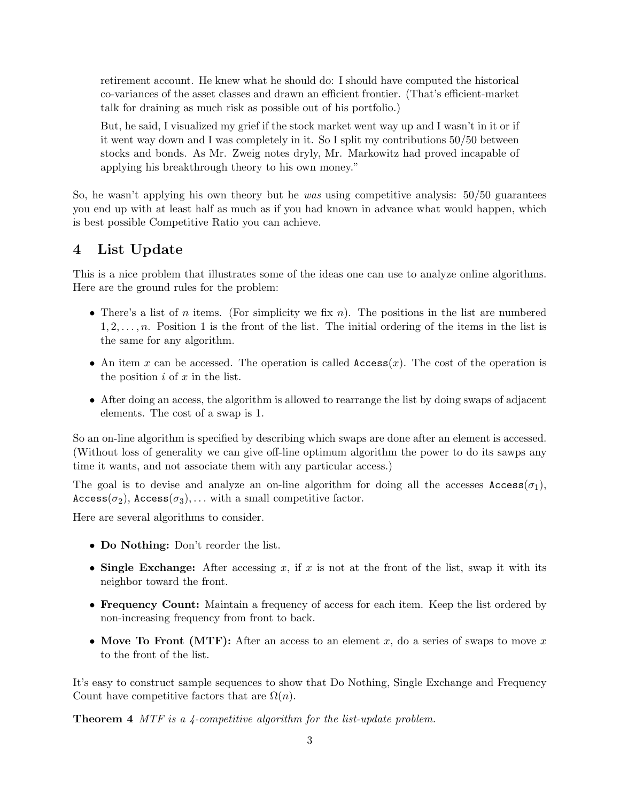retirement account. He knew what he should do: I should have computed the historical co-variances of the asset classes and drawn an efficient frontier. (That's efficient-market talk for draining as much risk as possible out of his portfolio.)

But, he said, I visualized my grief if the stock market went way up and I wasn't in it or if it went way down and I was completely in it. So I split my contributions 50/50 between stocks and bonds. As Mr. Zweig notes dryly, Mr. Markowitz had proved incapable of applying his breakthrough theory to his own money."

So, he wasn't applying his own theory but he was using competitive analysis: 50/50 guarantees you end up with at least half as much as if you had known in advance what would happen, which is best possible Competitive Ratio you can achieve.

## 4 List Update

This is a nice problem that illustrates some of the ideas one can use to analyze online algorithms. Here are the ground rules for the problem:

- There's a list of n items. (For simplicity we fix n). The positions in the list are numbered  $1, 2, \ldots, n$ . Position 1 is the front of the list. The initial ordering of the items in the list is the same for any algorithm.
- An item x can be accessed. The operation is called  $\texttt{Access}(x)$ . The cost of the operation is the position  $i$  of  $x$  in the list.
- After doing an access, the algorithm is allowed to rearrange the list by doing swaps of adjacent elements. The cost of a swap is 1.

So an on-line algorithm is specified by describing which swaps are done after an element is accessed. (Without loss of generality we can give off-line optimum algorithm the power to do its sawps any time it wants, and not associate them with any particular access.)

The goal is to devise and analyze an on-line algorithm for doing all the accesses  $\text{Access}(\sigma_1)$ ,  $\text{Access}(\sigma_2)$ ,  $\text{Access}(\sigma_3)$ , ... with a small competitive factor.

Here are several algorithms to consider.

- Do Nothing: Don't reorder the list.
- Single Exchange: After accessing x, if x is not at the front of the list, swap it with its neighbor toward the front.
- Frequency Count: Maintain a frequency of access for each item. Keep the list ordered by non-increasing frequency from front to back.
- Move To Front (MTF): After an access to an element x, do a series of swaps to move x to the front of the list.

It's easy to construct sample sequences to show that Do Nothing, Single Exchange and Frequency Count have competitive factors that are  $\Omega(n)$ .

Theorem 4 MTF is a 4-competitive algorithm for the list-update problem.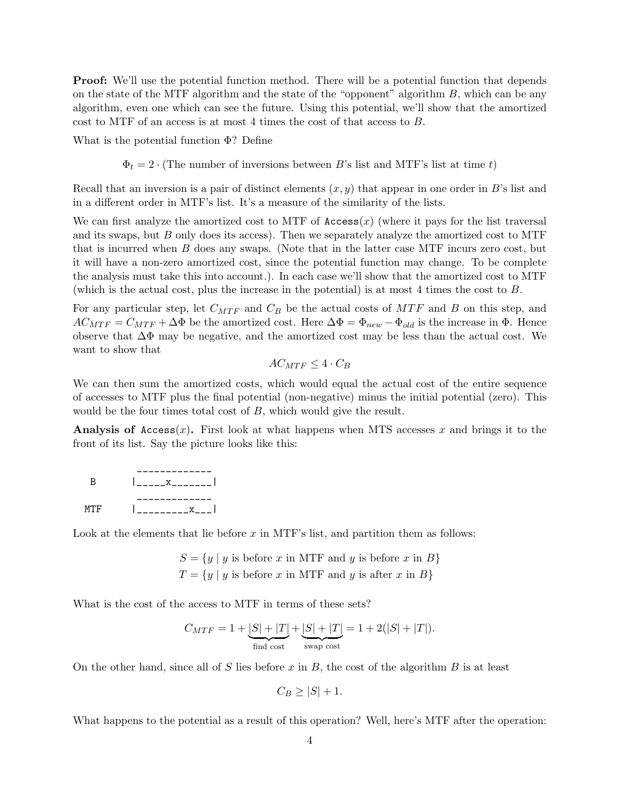**Proof:** We'll use the potential function method. There will be a potential function that depends on the state of the MTF algorithm and the state of the "opponent" algorithm  $B$ , which can be any algorithm, even one which can see the future. Using this potential, we'll show that the amortized cost to MTF of an access is at most 4 times the cost of that access to B.

What is the potential function Φ? Define

 $\Phi_t = 2 \cdot (\text{The number of inversions between } B$ 's list and MTF's list at time t)

Recall that an inversion is a pair of distinct elements  $(x, y)$  that appear in one order in B's list and in a different order in MTF's list. It's a measure of the similarity of the lists.

We can first analyze the amortized cost to MTF of  $\text{Access}(x)$  (where it pays for the list traversal and its swaps, but B only does its access). Then we separately analyze the amortized cost to MTF that is incurred when B does any swaps. (Note that in the latter case MTF incurs zero cost, but it will have a non-zero amortized cost, since the potential function may change. To be complete the analysis must take this into account.). In each case we'll show that the amortized cost to MTF (which is the actual cost, plus the increase in the potential) is at most 4 times the cost to B.

For any particular step, let  $C_{MTF}$  and  $C_B$  be the actual costs of  $MTF$  and B on this step, and  $AC_{MTF} = C_{MTF} + \Delta\Phi$  be the amortized cost. Here  $\Delta\Phi = \Phi_{new} - \Phi_{old}$  is the increase in  $\Phi$ . Hence observe that  $\Delta\Phi$  may be negative, and the amortized cost may be less than the actual cost. We want to show that

$$
AC_{MTF} \le 4 \cdot C_B
$$

We can then sum the amortized costs, which would equal the actual cost of the entire sequence of accesses to MTF plus the final potential (non-negative) minus the initial potential (zero). This would be the four times total cost of B, which would give the result.

**Analysis of Access** $(x)$ . First look at what happens when MTS accesses x and brings it to the front of its list. Say the picture looks like this:

| -R  | $\begin{array}{ccc} \mathbf{1} & \mathbf{x} & \mathbf{1} \end{array}$ |
|-----|-----------------------------------------------------------------------|
| MTF | $\mathbf{x}$ $\mathbf{r}$                                             |

Look at the elements that lie before  $x$  in MTF's list, and partition them as follows:

$$
S = \{y \mid y \text{ is before } x \text{ in MTF and } y \text{ is before } x \text{ in } B\}
$$

$$
T = \{y \mid y \text{ is before } x \text{ in MTF and } y \text{ is after } x \text{ in } B\}
$$

What is the cost of the access to MTF in terms of these sets?

$$
C_{MTF} = 1 + \underbrace{|S| + |T|}_{\text{find cost}} + \underbrace{|S| + |T|}_{\text{swap cost}} = 1 + 2(|S| + |T|).
$$

On the other hand, since all of S lies before x in B, the cost of the algorithm B is at least

$$
C_B \ge |S| + 1.
$$

What happens to the potential as a result of this operation? Well, here's MTF after the operation: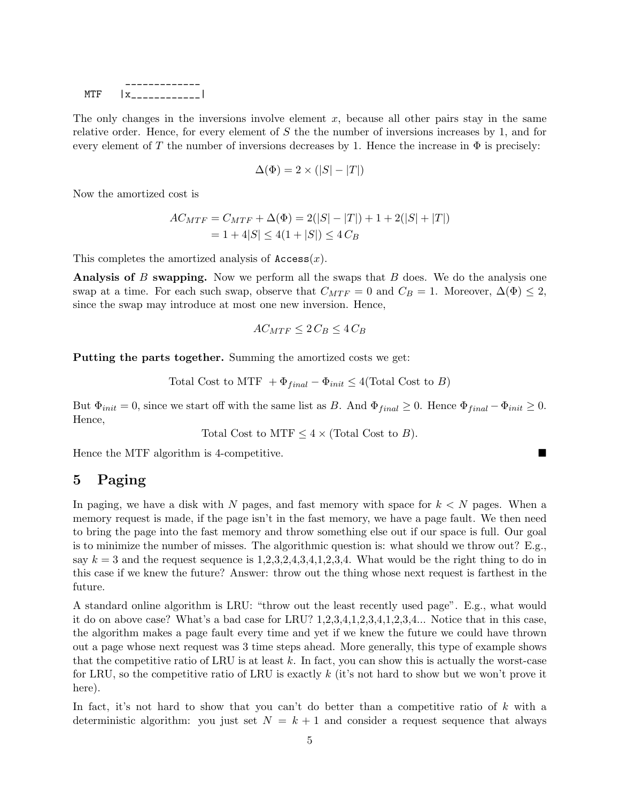| 1. I. H. | . .<br>------- |
|----------|----------------|

The only changes in the inversions involve element  $x$ , because all other pairs stay in the same relative order. Hence, for every element of  $S$  the the number of inversions increases by 1, and for every element of T the number of inversions decreases by 1. Hence the increase in  $\Phi$  is precisely:

$$
\Delta(\Phi) = 2 \times (|S| - |T|)
$$

Now the amortized cost is

$$
AC_{MTF} = C_{MTF} + \Delta(\Phi) = 2(|S| - |T|) + 1 + 2(|S| + |T|)
$$
  
= 1 + 4|S| \le 4(1 + |S|) \le 4 C<sub>B</sub>

This completes the amortized analysis of  $\texttt{Access}(x)$ .

**Analysis of B swapping.** Now we perform all the swaps that B does. We do the analysis one swap at a time. For each such swap, observe that  $C_{MTF} = 0$  and  $C_B = 1$ . Moreover,  $\Delta(\Phi) \leq 2$ , since the swap may introduce at most one new inversion. Hence,

$$
AC_{MTF} \le 2C_B \le 4C_B
$$

Putting the parts together. Summing the amortized costs we get:

Total Cost to MTF + 
$$
\Phi_{final}
$$
 -  $\Phi_{init}$   $\leq$  4(Total Cost to *B*)

But  $\Phi_{init} = 0$ , since we start off with the same list as B. And  $\Phi_{final} \geq 0$ . Hence  $\Phi_{final} - \Phi_{init} \geq 0$ . Hence,

Total Cost to MTF  $\leq 4 \times$  (Total Cost to B).

Hence the MTF algorithm is 4-competitive.

# 5 Paging

In paging, we have a disk with N pages, and fast memory with space for  $k < N$  pages. When a memory request is made, if the page isn't in the fast memory, we have a page fault. We then need to bring the page into the fast memory and throw something else out if our space is full. Our goal is to minimize the number of misses. The algorithmic question is: what should we throw out? E.g., say  $k = 3$  and the request sequence is 1,2,3,2,4,3,4,1,2,3,4. What would be the right thing to do in this case if we knew the future? Answer: throw out the thing whose next request is farthest in the future.

A standard online algorithm is LRU: "throw out the least recently used page". E.g., what would it do on above case? What's a bad case for LRU? 1,2,3,4,1,2,3,4,1,2,3,4... Notice that in this case, the algorithm makes a page fault every time and yet if we knew the future we could have thrown out a page whose next request was 3 time steps ahead. More generally, this type of example shows that the competitive ratio of LRU is at least  $k$ . In fact, you can show this is actually the worst-case for LRU, so the competitive ratio of LRU is exactly  $k$  (it's not hard to show but we won't prove it here).

In fact, it's not hard to show that you can't do better than a competitive ratio of  $k$  with a deterministic algorithm: you just set  $N = k + 1$  and consider a request sequence that always